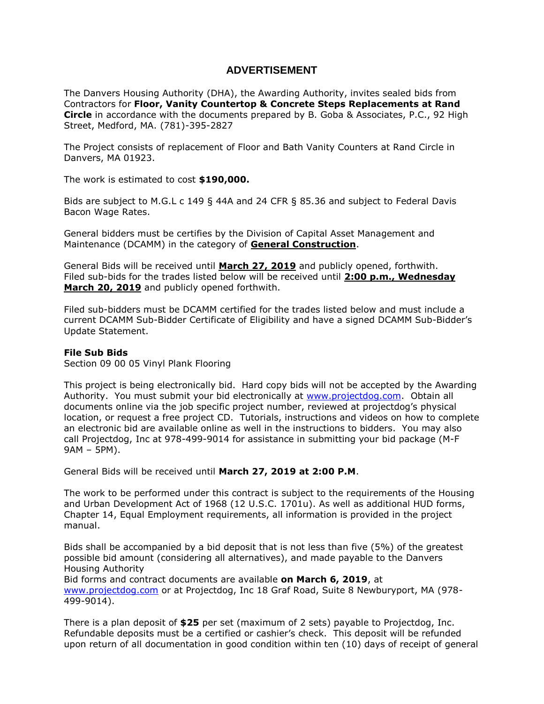## **ADVERTISEMENT**

The Danvers Housing Authority (DHA), the Awarding Authority, invites sealed bids from Contractors for **Floor, Vanity Countertop & Concrete Steps Replacements at Rand Circle** in accordance with the documents prepared by B. Goba & Associates, P.C., 92 High Street, Medford, MA. (781)-395-2827

The Project consists of replacement of Floor and Bath Vanity Counters at Rand Circle in Danvers, MA 01923.

The work is estimated to cost **\$190,000.**

Bids are subject to M.G.L c 149 § 44A and 24 CFR § 85.36 and subject to Federal Davis Bacon Wage Rates.

General bidders must be certifies by the Division of Capital Asset Management and Maintenance (DCAMM) in the category of **General Construction**.

General Bids will be received until **March 27, 2019** and publicly opened, forthwith. Filed sub-bids for the trades listed below will be received until **2:00 p.m., Wednesday March 20, 2019** and publicly opened forthwith.

Filed sub-bidders must be DCAMM certified for the trades listed below and must include a current DCAMM Sub-Bidder Certificate of Eligibility and have a signed DCAMM Sub-Bidder's Update Statement.

## **File Sub Bids**

Section 09 00 05 Vinyl Plank Flooring

This project is being electronically bid. Hard copy bids will not be accepted by the Awarding Authority. You must submit your bid electronically at [www.projectdog.com.](http://www.projectdog.com/) Obtain all documents online via the job specific project number, reviewed at projectdog's physical location, or request a free project CD. Tutorials, instructions and videos on how to complete an electronic bid are available online as well in the instructions to bidders. You may also call Projectdog, Inc at 978-499-9014 for assistance in submitting your bid package (M-F 9AM – 5PM).

General Bids will be received until **March 27, 2019 at 2:00 P.M**.

The work to be performed under this contract is subject to the requirements of the Housing and Urban Development Act of 1968 (12 U.S.C. 1701u). As well as additional HUD forms, Chapter 14, Equal Employment requirements, all information is provided in the project manual.

Bids shall be accompanied by a bid deposit that is not less than five (5%) of the greatest possible bid amount (considering all alternatives), and made payable to the Danvers Housing Authority

Bid forms and contract documents are available **on March 6, 2019**, at [www.projectdog.com](http://www.projectdog.com/) or at Projectdog, Inc 18 Graf Road, Suite 8 Newburyport, MA (978- 499-9014).

There is a plan deposit of **\$25** per set (maximum of 2 sets) payable to Projectdog, Inc. Refundable deposits must be a certified or cashier's check. This deposit will be refunded upon return of all documentation in good condition within ten (10) days of receipt of general